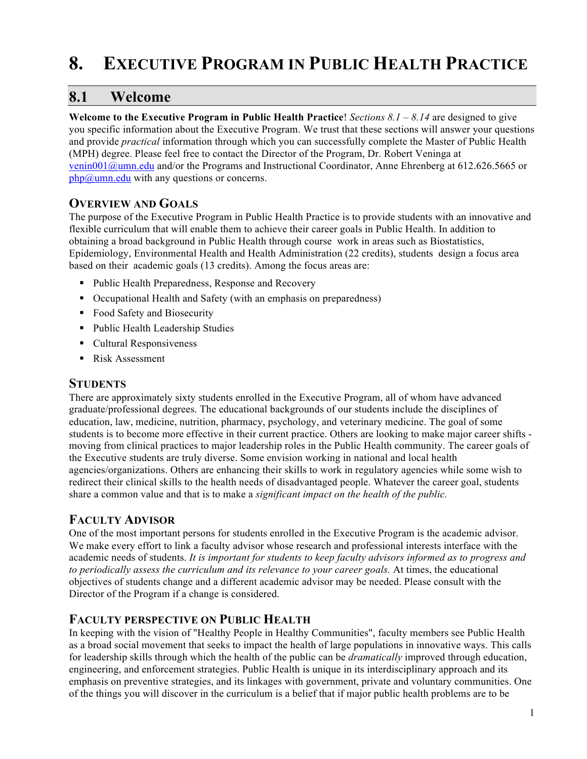# **8. EXECUTIVE PROGRAM IN PUBLIC HEALTH PRACTICE**

## **8.1 Welcome**

**Welcome to the Executive Program in Public Health Practice**! *Sections 8.1 – 8.14* are designed to give you specific information about the Executive Program. We trust that these sections will answer your questions and provide *practical* information through which you can successfully complete the Master of Public Health (MPH) degree. Please feel free to contact the Director of the Program, Dr. Robert Veninga at venin001@umn.edu and/or the Programs and Instructional Coordinator, Anne Ehrenberg at 612.626.5665 or  $php@$ umn.edu with any questions or concerns.

## **OVERVIEW AND GOALS**

The purpose of the Executive Program in Public Health Practice is to provide students with an innovative and flexible curriculum that will enable them to achieve their career goals in Public Health. In addition to obtaining a broad background in Public Health through course work in areas such as Biostatistics, Epidemiology, Environmental Health and Health Administration (22 credits), students design a focus area based on their academic goals (13 credits). Among the focus areas are:

- Public Health Preparedness, Response and Recovery
- Occupational Health and Safety (with an emphasis on preparedness)
- Food Safety and Biosecurity
- Public Health Leadership Studies
- Cultural Responsiveness
- Risk Assessment

### **STUDENTS**

There are approximately sixty students enrolled in the Executive Program, all of whom have advanced graduate/professional degrees. The educational backgrounds of our students include the disciplines of education, law, medicine, nutrition, pharmacy, psychology, and veterinary medicine. The goal of some students is to become more effective in their current practice. Others are looking to make major career shifts moving from clinical practices to major leadership roles in the Public Health community. The career goals of the Executive students are truly diverse. Some envision working in national and local health agencies/organizations. Others are enhancing their skills to work in regulatory agencies while some wish to redirect their clinical skills to the health needs of disadvantaged people. Whatever the career goal, students share a common value and that is to make a *significant impact on the health of the public.*

## **FACULTY ADVISOR**

One of the most important persons for students enrolled in the Executive Program is the academic advisor. We make every effort to link a faculty advisor whose research and professional interests interface with the academic needs of students. *It is important for students to keep faculty advisors informed as to progress and to periodically assess the curriculum and its relevance to your career goals.* At times, the educational objectives of students change and a different academic advisor may be needed. Please consult with the Director of the Program if a change is considered.

## **FACULTY PERSPECTIVE ON PUBLIC HEALTH**

In keeping with the vision of "Healthy People in Healthy Communities", faculty members see Public Health as a broad social movement that seeks to impact the health of large populations in innovative ways. This calls for leadership skills through which the health of the public can be *dramatically* improved through education, engineering, and enforcement strategies. Public Health is unique in its interdisciplinary approach and its emphasis on preventive strategies, and its linkages with government, private and voluntary communities. One of the things you will discover in the curriculum is a belief that if major public health problems are to be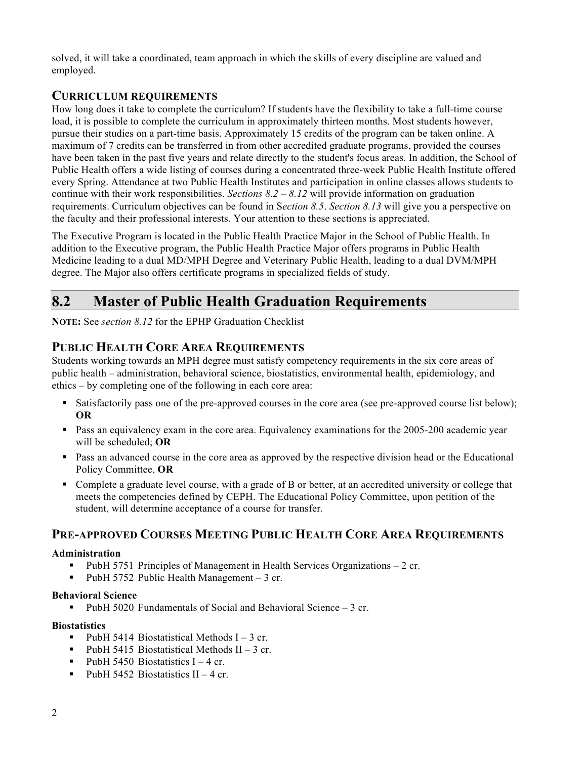solved, it will take a coordinated, team approach in which the skills of every discipline are valued and employed.

### **CURRICULUM REQUIREMENTS**

How long does it take to complete the curriculum? If students have the flexibility to take a full-time course load, it is possible to complete the curriculum in approximately thirteen months. Most students however, pursue their studies on a part-time basis. Approximately 15 credits of the program can be taken online. A maximum of 7 credits can be transferred in from other accredited graduate programs, provided the courses have been taken in the past five years and relate directly to the student's focus areas. In addition, the School of Public Health offers a wide listing of courses during a concentrated three-week Public Health Institute offered every Spring. Attendance at two Public Health Institutes and participation in online classes allows students to continue with their work responsibilities. *Sections 8.2 – 8.12* will provide information on graduation requirements. Curriculum objectives can be found in S*ection 8.5*. *Section 8.13* will give you a perspective on the faculty and their professional interests. Your attention to these sections is appreciated.

The Executive Program is located in the Public Health Practice Major in the School of Public Health. In addition to the Executive program, the Public Health Practice Major offers programs in Public Health Medicine leading to a dual MD/MPH Degree and Veterinary Public Health, leading to a dual DVM/MPH degree. The Major also offers certificate programs in specialized fields of study.

# **8.2 Master of Public Health Graduation Requirements**

**NOTE:** See *section 8.12* for the EPHP Graduation Checklist

## **PUBLIC HEALTH CORE AREA REQUIREMENTS**

Students working towards an MPH degree must satisfy competency requirements in the six core areas of public health – administration, behavioral science, biostatistics, environmental health, epidemiology, and ethics – by completing one of the following in each core area:

- Satisfactorily pass one of the pre-approved courses in the core area (see pre-approved course list below); **OR**
- **Pass an equivalency exam in the core area. Equivalency examinations for the 2005-200 academic year** will be scheduled; **OR**
- **Pass an advanced course in the core area as approved by the respective division head or the Educational** Policy Committee, **OR**
- Complete a graduate level course, with a grade of B or better, at an accredited university or college that meets the competencies defined by CEPH. The Educational Policy Committee, upon petition of the student, will determine acceptance of a course for transfer.

## **PRE-APPROVED COURSES MEETING PUBLIC HEALTH CORE AREA REQUIREMENTS**

### **Administration**

- PubH 5751 Principles of Management in Health Services Organizations 2 cr.
- PubH 5752 Public Health Management 3 cr.

### **Behavioral Science**

PubH 5020 Fundamentals of Social and Behavioral Science – 3 cr.

### **Biostatistics**

- PubH 5414 Biostatistical Methods  $I 3$  cr.
- PubH 5415 Biostatistical Methods II 3 cr.
- PubH 5450 Biostatistics  $I 4$  cr.
- PubH 5452 Biostatistics  $II 4$  cr.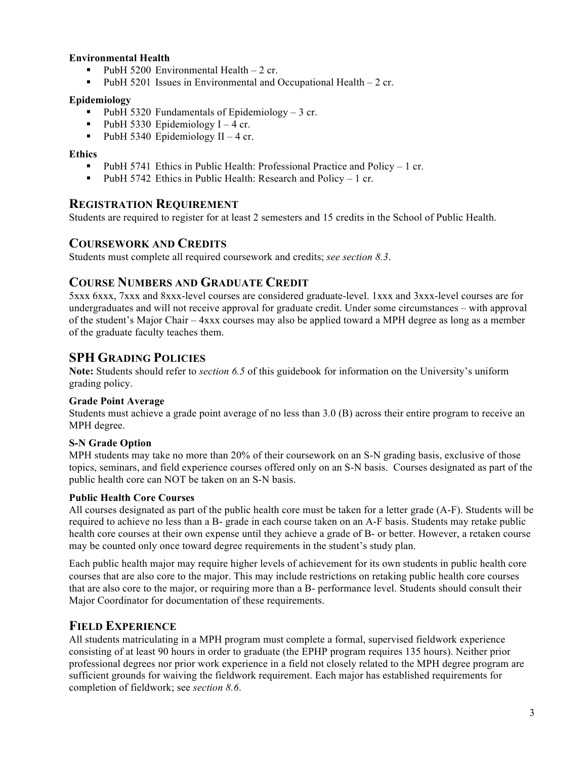### **Environmental Health**

- PubH 5200 Environmental Health 2 cr.
- PubH 5201 Issues in Environmental and Occupational Health 2 cr.

### **Epidemiology**

- PubH 5320 Fundamentals of Epidemiology 3 cr.
- PubH 5330 Epidemiology  $I 4$  cr.
- PubH 5340 Epidemiology II 4 cr.

### **Ethics**

- PubH 5741 Ethics in Public Health: Professional Practice and Policy  $-1$  cr.
- **PubH 5742 Ethics in Public Health: Research and Policy 1 cr.**

### **REGISTRATION REQUIREMENT**

Students are required to register for at least 2 semesters and 15 credits in the School of Public Health.

### **COURSEWORK AND CREDITS**

Students must complete all required coursework and credits; *see section 8.3*.

### **COURSE NUMBERS AND GRADUATE CREDIT**

5xxx 6xxx, 7xxx and 8xxx-level courses are considered graduate-level. 1xxx and 3xxx-level courses are for undergraduates and will not receive approval for graduate credit. Under some circumstances – with approval of the student's Major Chair – 4xxx courses may also be applied toward a MPH degree as long as a member of the graduate faculty teaches them.

## **SPH GRADING POLICIES**

**Note:** Students should refer to *section 6.5* of this guidebook for information on the University's uniform grading policy.

#### **Grade Point Average**

Students must achieve a grade point average of no less than 3.0 (B) across their entire program to receive an MPH degree.

### **S-N Grade Option**

MPH students may take no more than 20% of their coursework on an S-N grading basis, exclusive of those topics, seminars, and field experience courses offered only on an S-N basis. Courses designated as part of the public health core can NOT be taken on an S-N basis.

#### **Public Health Core Courses**

All courses designated as part of the public health core must be taken for a letter grade (A-F). Students will be required to achieve no less than a B- grade in each course taken on an A-F basis. Students may retake public health core courses at their own expense until they achieve a grade of B- or better. However, a retaken course may be counted only once toward degree requirements in the student's study plan.

Each public health major may require higher levels of achievement for its own students in public health core courses that are also core to the major. This may include restrictions on retaking public health core courses that are also core to the major, or requiring more than a B- performance level. Students should consult their Major Coordinator for documentation of these requirements.

### **FIELD EXPERIENCE**

All students matriculating in a MPH program must complete a formal, supervised fieldwork experience consisting of at least 90 hours in order to graduate (the EPHP program requires 135 hours). Neither prior professional degrees nor prior work experience in a field not closely related to the MPH degree program are sufficient grounds for waiving the fieldwork requirement. Each major has established requirements for completion of fieldwork; see *section 8.6*.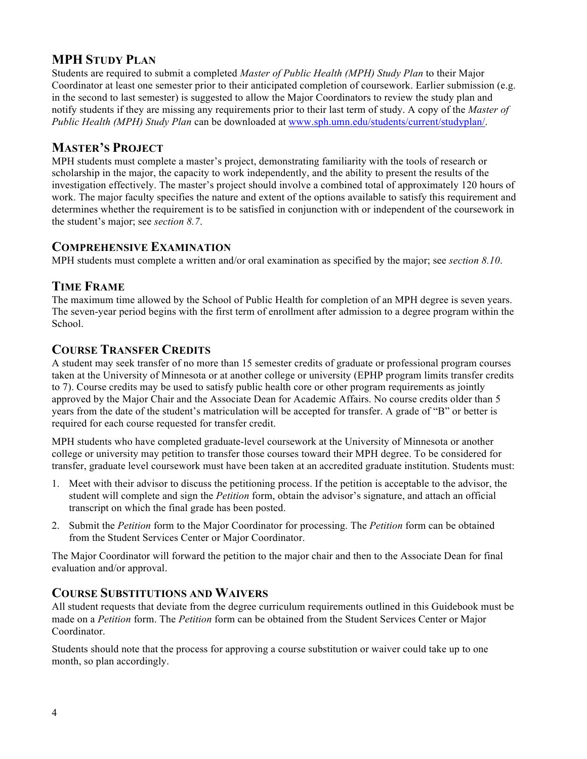## **MPH STUDY PLAN**

Students are required to submit a completed *Master of Public Health (MPH) Study Plan* to their Major Coordinator at least one semester prior to their anticipated completion of coursework. Earlier submission (e.g. in the second to last semester) is suggested to allow the Major Coordinators to review the study plan and notify students if they are missing any requirements prior to their last term of study. A copy of the *Master of Public Health (MPH) Study Plan* can be downloaded at www.sph.umn.edu/students/current/studyplan/.

## **MASTER'S PROJECT**

MPH students must complete a master's project, demonstrating familiarity with the tools of research or scholarship in the major, the capacity to work independently, and the ability to present the results of the investigation effectively. The master's project should involve a combined total of approximately 120 hours of work. The major faculty specifies the nature and extent of the options available to satisfy this requirement and determines whether the requirement is to be satisfied in conjunction with or independent of the coursework in the student's major; see *section 8.7*.

## **COMPREHENSIVE EXAMINATION**

MPH students must complete a written and/or oral examination as specified by the major; see *section 8.10*.

### **TIME FRAME**

The maximum time allowed by the School of Public Health for completion of an MPH degree is seven years. The seven-year period begins with the first term of enrollment after admission to a degree program within the School.

## **COURSE TRANSFER CREDITS**

A student may seek transfer of no more than 15 semester credits of graduate or professional program courses taken at the University of Minnesota or at another college or university (EPHP program limits transfer credits to 7). Course credits may be used to satisfy public health core or other program requirements as jointly approved by the Major Chair and the Associate Dean for Academic Affairs. No course credits older than 5 years from the date of the student's matriculation will be accepted for transfer. A grade of "B" or better is required for each course requested for transfer credit.

MPH students who have completed graduate-level coursework at the University of Minnesota or another college or university may petition to transfer those courses toward their MPH degree. To be considered for transfer, graduate level coursework must have been taken at an accredited graduate institution. Students must:

- 1. Meet with their advisor to discuss the petitioning process. If the petition is acceptable to the advisor, the student will complete and sign the *Petition* form, obtain the advisor's signature, and attach an official transcript on which the final grade has been posted.
- 2. Submit the *Petition* form to the Major Coordinator for processing. The *Petition* form can be obtained from the Student Services Center or Major Coordinator.

The Major Coordinator will forward the petition to the major chair and then to the Associate Dean for final evaluation and/or approval.

### **COURSE SUBSTITUTIONS AND WAIVERS**

All student requests that deviate from the degree curriculum requirements outlined in this Guidebook must be made on a *Petition* form. The *Petition* form can be obtained from the Student Services Center or Major Coordinator.

Students should note that the process for approving a course substitution or waiver could take up to one month, so plan accordingly.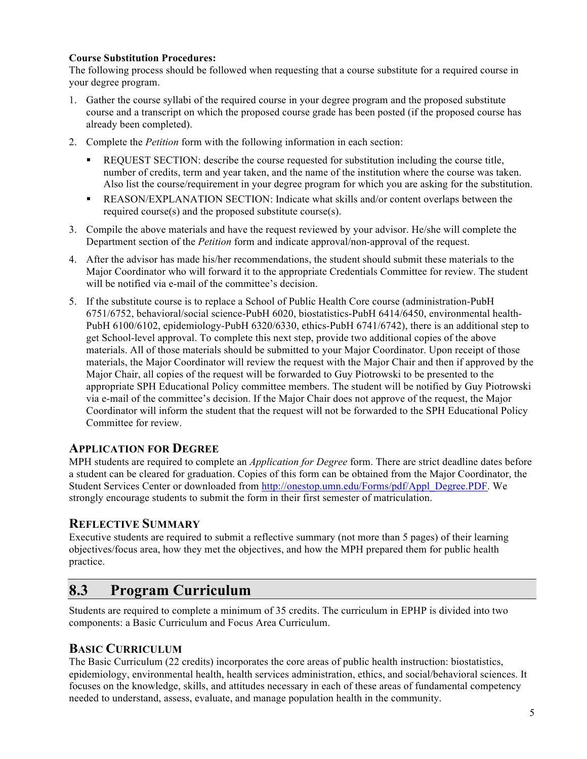### **Course Substitution Procedures:**

The following process should be followed when requesting that a course substitute for a required course in your degree program.

- 1. Gather the course syllabi of the required course in your degree program and the proposed substitute course and a transcript on which the proposed course grade has been posted (if the proposed course has already been completed).
- 2. Complete the *Petition* form with the following information in each section:
	- REQUEST SECTION: describe the course requested for substitution including the course title, number of credits, term and year taken, and the name of the institution where the course was taken. Also list the course/requirement in your degree program for which you are asking for the substitution.
	- REASON/EXPLANATION SECTION: Indicate what skills and/or content overlaps between the required course(s) and the proposed substitute course(s).
- 3. Compile the above materials and have the request reviewed by your advisor. He/she will complete the Department section of the *Petition* form and indicate approval/non-approval of the request.
- 4. After the advisor has made his/her recommendations, the student should submit these materials to the Major Coordinator who will forward it to the appropriate Credentials Committee for review. The student will be notified via e-mail of the committee's decision.
- 5. If the substitute course is to replace a School of Public Health Core course (administration-PubH 6751/6752, behavioral/social science-PubH 6020, biostatistics-PubH 6414/6450, environmental health-PubH 6100/6102, epidemiology-PubH 6320/6330, ethics-PubH 6741/6742), there is an additional step to get School-level approval. To complete this next step, provide two additional copies of the above materials. All of those materials should be submitted to your Major Coordinator. Upon receipt of those materials, the Major Coordinator will review the request with the Major Chair and then if approved by the Major Chair, all copies of the request will be forwarded to Guy Piotrowski to be presented to the appropriate SPH Educational Policy committee members. The student will be notified by Guy Piotrowski via e-mail of the committee's decision. If the Major Chair does not approve of the request, the Major Coordinator will inform the student that the request will not be forwarded to the SPH Educational Policy Committee for review.

### **APPLICATION FOR DEGREE**

MPH students are required to complete an *Application for Degree* form. There are strict deadline dates before a student can be cleared for graduation. Copies of this form can be obtained from the Major Coordinator, the Student Services Center or downloaded from http://onestop.umn.edu/Forms/pdf/Appl\_Degree.PDF. We strongly encourage students to submit the form in their first semester of matriculation.

### **REFLECTIVE SUMMARY**

Executive students are required to submit a reflective summary (not more than 5 pages) of their learning objectives/focus area, how they met the objectives, and how the MPH prepared them for public health practice.

## **8.3 Program Curriculum**

Students are required to complete a minimum of 35 credits. The curriculum in EPHP is divided into two components: a Basic Curriculum and Focus Area Curriculum.

### **BASIC CURRICULUM**

The Basic Curriculum (22 credits) incorporates the core areas of public health instruction: biostatistics, epidemiology, environmental health, health services administration, ethics, and social/behavioral sciences. It focuses on the knowledge, skills, and attitudes necessary in each of these areas of fundamental competency needed to understand, assess, evaluate, and manage population health in the community.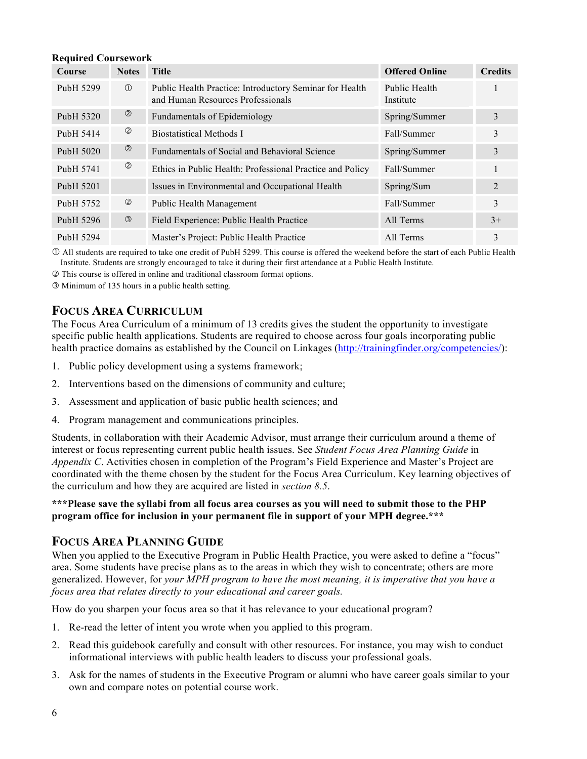#### **Required Coursework**

| Course                | <b>Notes</b>   | <b>Title</b>                                                                                 | <b>Offered Online</b>      | <b>Credits</b> |
|-----------------------|----------------|----------------------------------------------------------------------------------------------|----------------------------|----------------|
| Pub <sub>H</sub> 5299 | $\circled{1}$  | Public Health Practice: Introductory Seminar for Health<br>and Human Resources Professionals | Public Health<br>Institute |                |
| PubH 5320             | ②              | Fundamentals of Epidemiology                                                                 | Spring/Summer              | 3              |
| PubH 5414             | $^{\circledR}$ | <b>Biostatistical Methods I</b>                                                              | Fall/Summer                | 3              |
| Pub <sub>H</sub> 5020 | $^{\circledR}$ | <b>Fundamentals of Social and Behavioral Science</b>                                         | Spring/Summer              | 3              |
| Pub <sub>H</sub> 5741 | $^{\circledR}$ | Ethics in Public Health: Professional Practice and Policy                                    | Fall/Summer                |                |
| Pub <sub>H</sub> 5201 |                | Issues in Environmental and Occupational Health                                              | Spring/Sum                 | 2              |
| Pub <sub>H</sub> 5752 | $^{\circledR}$ | Public Health Management                                                                     | Fall/Summer                | 3              |
| PubH 5296             | $\circled{3}$  | Field Experience: Public Health Practice                                                     | All Terms                  | $3+$           |
| Pub <sub>H</sub> 5294 |                | Master's Project: Public Health Practice                                                     | All Terms                  | 3              |

 All students are required to take one credit of PubH 5299. This course is offered the weekend before the start of each Public Health Institute. Students are strongly encouraged to take it during their first attendance at a Public Health Institute.

This course is offered in online and traditional classroom format options.

Minimum of 135 hours in a public health setting.

## **FOCUS AREA CURRICULUM**

The Focus Area Curriculum of a minimum of 13 credits gives the student the opportunity to investigate specific public health applications. Students are required to choose across four goals incorporating public health practice domains as established by the Council on Linkages (http://trainingfinder.org/competencies/):

- 1. Public policy development using a systems framework;
- 2. Interventions based on the dimensions of community and culture;
- 3. Assessment and application of basic public health sciences; and
- 4. Program management and communications principles.

Students, in collaboration with their Academic Advisor, must arrange their curriculum around a theme of interest or focus representing current public health issues. See *Student Focus Area Planning Guide* in *Appendix C.* Activities chosen in completion of the Program's Field Experience and Master's Project are coordinated with the theme chosen by the student for the Focus Area Curriculum. Key learning objectives of the curriculum and how they are acquired are listed in *section 8.5*.

#### **\*\*\*Please save the syllabi from all focus area courses as you will need to submit those to the PHP program office for inclusion in your permanent file in support of your MPH degree.\*\*\***

### **FOCUS AREA PLANNING GUIDE**

When you applied to the Executive Program in Public Health Practice, you were asked to define a "focus" area. Some students have precise plans as to the areas in which they wish to concentrate; others are more generalized. However, for *your MPH program to have the most meaning, it is imperative that you have a focus area that relates directly to your educational and career goals.* 

How do you sharpen your focus area so that it has relevance to your educational program?

- 1. Re-read the letter of intent you wrote when you applied to this program.
- 2. Read this guidebook carefully and consult with other resources. For instance, you may wish to conduct informational interviews with public health leaders to discuss your professional goals.
- 3. Ask for the names of students in the Executive Program or alumni who have career goals similar to your own and compare notes on potential course work.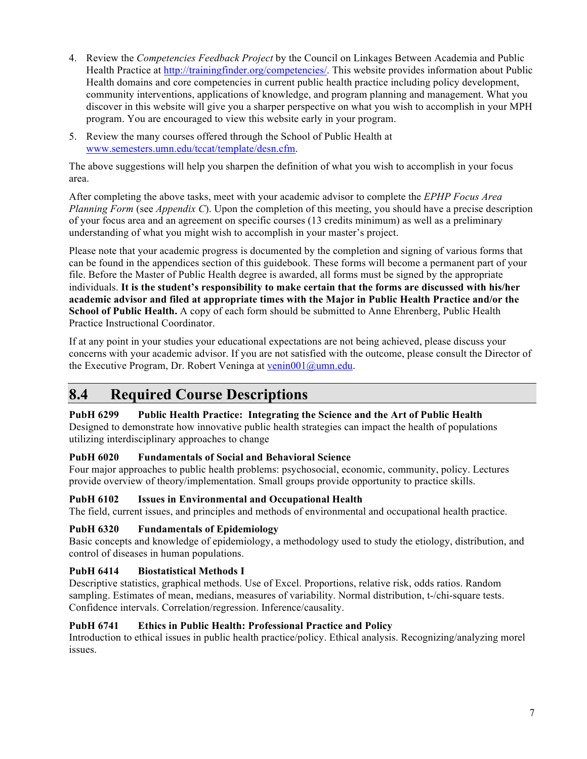- 4. Review the *Competencies Feedback Project* by the Council on Linkages Between Academia and Public Health Practice at http://trainingfinder.org/competencies/. This website provides information about Public Health domains and core competencies in current public health practice including policy development, community interventions, applications of knowledge, and program planning and management. What you discover in this website will give you a sharper perspective on what you wish to accomplish in your MPH program. You are encouraged to view this website early in your program.
- 5. Review the many courses offered through the School of Public Health at www.semesters.umn.edu/tccat/template/desn.cfm.

The above suggestions will help you sharpen the definition of what you wish to accomplish in your focus area.

After completing the above tasks, meet with your academic advisor to complete the *EPHP Focus Area Planning Form* (see *Appendix C*). Upon the completion of this meeting, you should have a precise description of your focus area and an agreement on specific courses (13 credits minimum) as well as a preliminary understanding of what you might wish to accomplish in your master's project.

Please note that your academic progress is documented by the completion and signing of various forms that can be found in the appendices section of this guidebook. These forms will become a permanent part of your file. Before the Master of Public Health degree is awarded, all forms must be signed by the appropriate individuals. **It is the student's responsibility to make certain that the forms are discussed with his/her academic advisor and filed at appropriate times with the Major in Public Health Practice and/or the School of Public Health.** A copy of each form should be submitted to Anne Ehrenberg, Public Health Practice Instructional Coordinator.

If at any point in your studies your educational expectations are not being achieved, please discuss your concerns with your academic advisor. If you are not satisfied with the outcome, please consult the Director of the Executive Program, Dr. Robert Veninga at venin001@umn.edu.

# **8.4 Required Course Descriptions**

### **PubH 6299 Public Health Practice: Integrating the Science and the Art of Public Health**

Designed to demonstrate how innovative public health strategies can impact the health of populations utilizing interdisciplinary approaches to change

### **PubH 6020 Fundamentals of Social and Behavioral Science**

Four major approaches to public health problems: psychosocial, economic, community, policy. Lectures provide overview of theory/implementation. Small groups provide opportunity to practice skills.

### **PubH 6102 Issues in Environmental and Occupational Health**

The field, current issues, and principles and methods of environmental and occupational health practice.

### **PubH 6320 Fundamentals of Epidemiology**

Basic concepts and knowledge of epidemiology, a methodology used to study the etiology, distribution, and control of diseases in human populations.

### **PubH 6414 Biostatistical Methods I**

Descriptive statistics, graphical methods. Use of Excel. Proportions, relative risk, odds ratios. Random sampling. Estimates of mean, medians, measures of variability. Normal distribution, t-/chi-square tests. Confidence intervals. Correlation/regression. Inference/causality.

### **PubH 6741 Ethics in Public Health: Professional Practice and Policy**

Introduction to ethical issues in public health practice/policy. Ethical analysis. Recognizing/analyzing morel issues.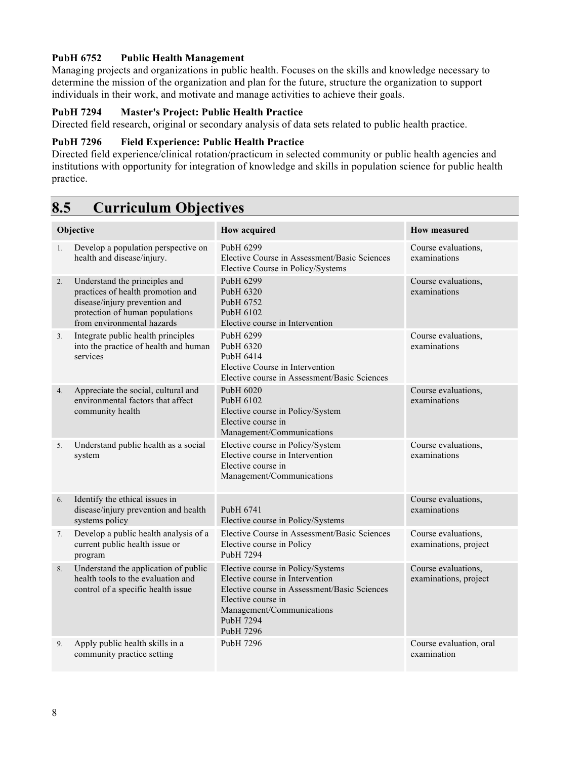### **PubH 6752 Public Health Management**

Managing projects and organizations in public health. Focuses on the skills and knowledge necessary to determine the mission of the organization and plan for the future, structure the organization to support individuals in their work, and motivate and manage activities to achieve their goals.

### **PubH 7294 Master's Project: Public Health Practice**

Directed field research, original or secondary analysis of data sets related to public health practice.

#### **PubH 7296 Field Experience: Public Health Practice**

Directed field experience/clinical rotation/practicum in selected community or public health agencies and institutions with opportunity for integration of knowledge and skills in population science for public health practice.

# **8.5 Curriculum Objectives**

| Objective      |                                                                                                                                                                      | <b>How acquired</b>                                                                                                                                                                               | <b>How measured</b>                          |  |
|----------------|----------------------------------------------------------------------------------------------------------------------------------------------------------------------|---------------------------------------------------------------------------------------------------------------------------------------------------------------------------------------------------|----------------------------------------------|--|
| 1.             | Develop a population perspective on<br>health and disease/injury.                                                                                                    | Pub <sub>H</sub> 6299<br>Elective Course in Assessment/Basic Sciences<br>Elective Course in Policy/Systems                                                                                        | Course evaluations,<br>examinations          |  |
| 2.             | Understand the principles and<br>practices of health promotion and<br>disease/injury prevention and<br>protection of human populations<br>from environmental hazards | PubH 6299<br>PubH 6320<br>Pub <sub>H</sub> 6752<br>Pub <sub>H</sub> 6102<br>Elective course in Intervention                                                                                       | Course evaluations,<br>examinations          |  |
| 3 <sub>1</sub> | Integrate public health principles<br>into the practice of health and human<br>services                                                                              | PubH 6299<br>Pub <sub>H</sub> 6320<br>Pub <sub>H</sub> 6414<br>Elective Course in Intervention<br>Elective course in Assessment/Basic Sciences                                                    | Course evaluations,<br>examinations          |  |
| 4.             | Appreciate the social, cultural and<br>environmental factors that affect<br>community health                                                                         | Pub <sub>H</sub> 6020<br>Pub <sub>H</sub> 6102<br>Elective course in Policy/System<br>Elective course in<br>Management/Communications                                                             | Course evaluations,<br>examinations          |  |
| 5.             | Understand public health as a social<br>system                                                                                                                       | Elective course in Policy/System<br>Elective course in Intervention<br>Elective course in<br>Management/Communications                                                                            | Course evaluations,<br>examinations          |  |
| 6.             | Identify the ethical issues in<br>disease/injury prevention and health<br>systems policy                                                                             | Pub <sub>H</sub> 6741<br>Elective course in Policy/Systems                                                                                                                                        | Course evaluations,<br>examinations          |  |
| 7.             | Develop a public health analysis of a<br>current public health issue or<br>program                                                                                   | Elective Course in Assessment/Basic Sciences<br>Elective course in Policy<br>PubH 7294                                                                                                            | Course evaluations,<br>examinations, project |  |
| 8.             | Understand the application of public<br>health tools to the evaluation and<br>control of a specific health issue                                                     | Elective course in Policy/Systems<br>Elective course in Intervention<br>Elective course in Assessment/Basic Sciences<br>Elective course in<br>Management/Communications<br>PubH 7294<br>PubH 7296 | Course evaluations,<br>examinations, project |  |
| 9.             | Apply public health skills in a<br>community practice setting                                                                                                        | Pub <sub>H</sub> 7296                                                                                                                                                                             | Course evaluation, oral<br>examination       |  |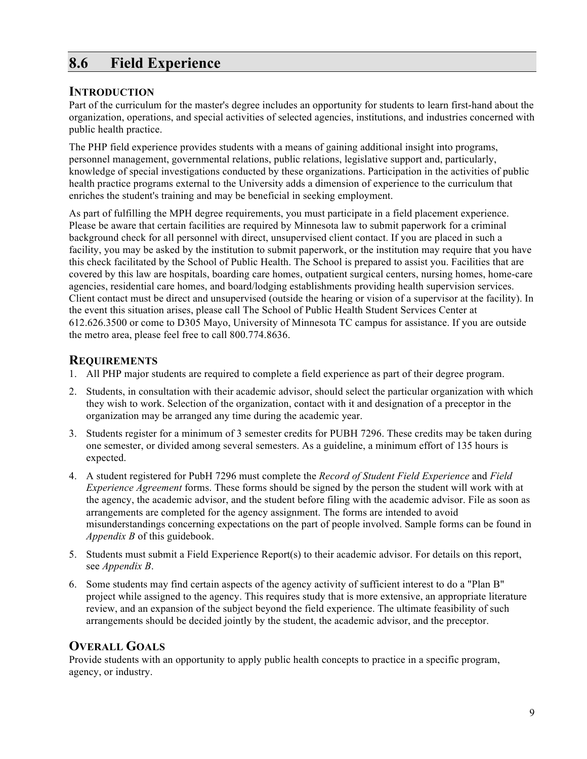# **8.6 Field Experience**

### **INTRODUCTION**

Part of the curriculum for the master's degree includes an opportunity for students to learn first-hand about the organization, operations, and special activities of selected agencies, institutions, and industries concerned with public health practice.

The PHP field experience provides students with a means of gaining additional insight into programs, personnel management, governmental relations, public relations, legislative support and, particularly, knowledge of special investigations conducted by these organizations. Participation in the activities of public health practice programs external to the University adds a dimension of experience to the curriculum that enriches the student's training and may be beneficial in seeking employment.

As part of fulfilling the MPH degree requirements, you must participate in a field placement experience. Please be aware that certain facilities are required by Minnesota law to submit paperwork for a criminal background check for all personnel with direct, unsupervised client contact. If you are placed in such a facility, you may be asked by the institution to submit paperwork, or the institution may require that you have this check facilitated by the School of Public Health. The School is prepared to assist you. Facilities that are covered by this law are hospitals, boarding care homes, outpatient surgical centers, nursing homes, home-care agencies, residential care homes, and board/lodging establishments providing health supervision services. Client contact must be direct and unsupervised (outside the hearing or vision of a supervisor at the facility). In the event this situation arises, please call The School of Public Health Student Services Center at 612.626.3500 or come to D305 Mayo, University of Minnesota TC campus for assistance. If you are outside the metro area, please feel free to call 800.774.8636.

## **REQUIREMENTS**

- 1. All PHP major students are required to complete a field experience as part of their degree program.
- 2. Students, in consultation with their academic advisor, should select the particular organization with which they wish to work. Selection of the organization, contact with it and designation of a preceptor in the organization may be arranged any time during the academic year.
- 3. Students register for a minimum of 3 semester credits for PUBH 7296. These credits may be taken during one semester, or divided among several semesters. As a guideline, a minimum effort of 135 hours is expected.
- 4. A student registered for PubH 7296 must complete the *Record of Student Field Experience* and *Field Experience Agreement* forms. These forms should be signed by the person the student will work with at the agency, the academic advisor, and the student before filing with the academic advisor. File as soon as arrangements are completed for the agency assignment. The forms are intended to avoid misunderstandings concerning expectations on the part of people involved. Sample forms can be found in *Appendix B* of this guidebook.
- 5. Students must submit a Field Experience Report(s) to their academic advisor. For details on this report, see *Appendix B*.
- 6. Some students may find certain aspects of the agency activity of sufficient interest to do a "Plan B" project while assigned to the agency. This requires study that is more extensive, an appropriate literature review, and an expansion of the subject beyond the field experience. The ultimate feasibility of such arrangements should be decided jointly by the student, the academic advisor, and the preceptor.

## **OVERALL GOALS**

Provide students with an opportunity to apply public health concepts to practice in a specific program, agency, or industry.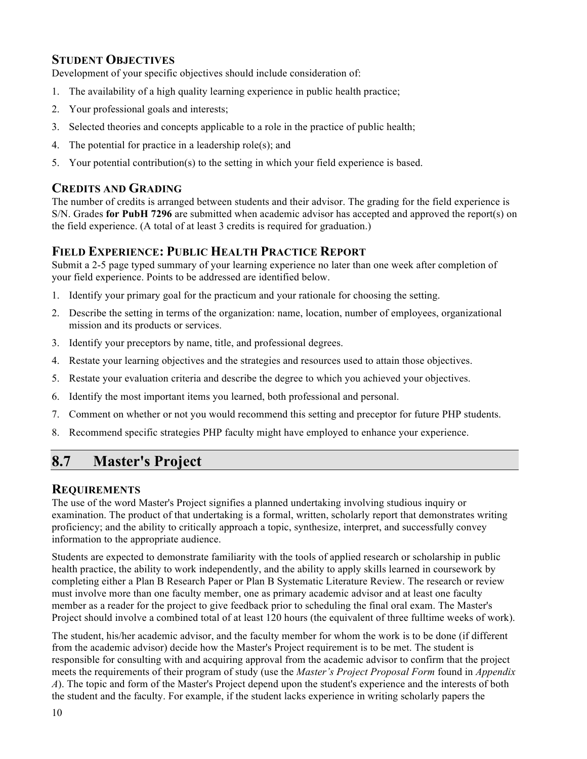## **STUDENT OBJECTIVES**

Development of your specific objectives should include consideration of:

- 1. The availability of a high quality learning experience in public health practice;
- 2. Your professional goals and interests;
- 3. Selected theories and concepts applicable to a role in the practice of public health;
- 4. The potential for practice in a leadership role(s); and
- 5. Your potential contribution(s) to the setting in which your field experience is based.

## **CREDITS AND GRADING**

The number of credits is arranged between students and their advisor. The grading for the field experience is S/N. Grades **for PubH 7296** are submitted when academic advisor has accepted and approved the report(s) on the field experience. (A total of at least 3 credits is required for graduation.)

## **FIELD EXPERIENCE: PUBLIC HEALTH PRACTICE REPORT**

Submit a 2-5 page typed summary of your learning experience no later than one week after completion of your field experience. Points to be addressed are identified below.

- 1. Identify your primary goal for the practicum and your rationale for choosing the setting.
- 2. Describe the setting in terms of the organization: name, location, number of employees, organizational mission and its products or services.
- 3. Identify your preceptors by name, title, and professional degrees.
- 4. Restate your learning objectives and the strategies and resources used to attain those objectives.
- 5. Restate your evaluation criteria and describe the degree to which you achieved your objectives.
- 6. Identify the most important items you learned, both professional and personal.
- 7. Comment on whether or not you would recommend this setting and preceptor for future PHP students.
- 8. Recommend specific strategies PHP faculty might have employed to enhance your experience.

# **8.7 Master's Project**

### **REQUIREMENTS**

The use of the word Master's Project signifies a planned undertaking involving studious inquiry or examination. The product of that undertaking is a formal, written, scholarly report that demonstrates writing proficiency; and the ability to critically approach a topic, synthesize, interpret, and successfully convey information to the appropriate audience.

Students are expected to demonstrate familiarity with the tools of applied research or scholarship in public health practice, the ability to work independently, and the ability to apply skills learned in coursework by completing either a Plan B Research Paper or Plan B Systematic Literature Review. The research or review must involve more than one faculty member, one as primary academic advisor and at least one faculty member as a reader for the project to give feedback prior to scheduling the final oral exam. The Master's Project should involve a combined total of at least 120 hours (the equivalent of three fulltime weeks of work).

The student, his/her academic advisor, and the faculty member for whom the work is to be done (if different from the academic advisor) decide how the Master's Project requirement is to be met. The student is responsible for consulting with and acquiring approval from the academic advisor to confirm that the project meets the requirements of their program of study (use the *Master's Project Proposal Form* found in *Appendix A*). The topic and form of the Master's Project depend upon the student's experience and the interests of both the student and the faculty. For example, if the student lacks experience in writing scholarly papers the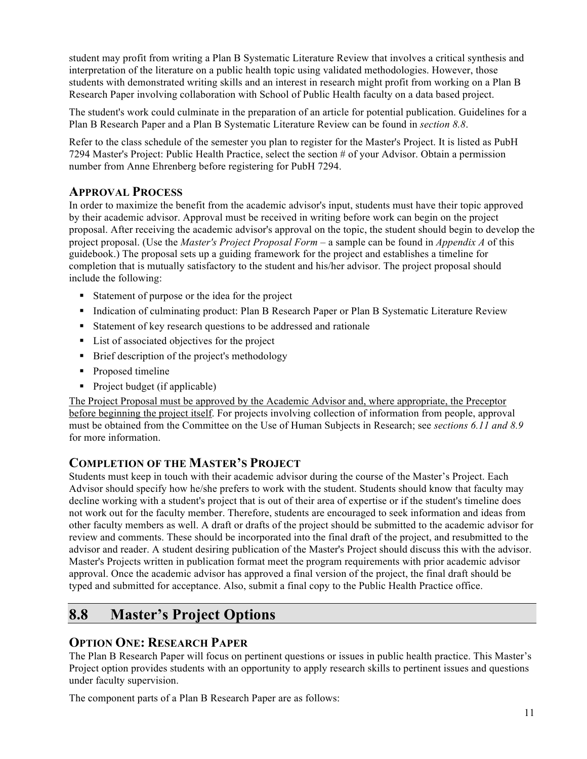student may profit from writing a Plan B Systematic Literature Review that involves a critical synthesis and interpretation of the literature on a public health topic using validated methodologies. However, those students with demonstrated writing skills and an interest in research might profit from working on a Plan B Research Paper involving collaboration with School of Public Health faculty on a data based project.

The student's work could culminate in the preparation of an article for potential publication. Guidelines for a Plan B Research Paper and a Plan B Systematic Literature Review can be found in *section 8.8*.

Refer to the class schedule of the semester you plan to register for the Master's Project. It is listed as PubH 7294 Master's Project: Public Health Practice, select the section # of your Advisor. Obtain a permission number from Anne Ehrenberg before registering for PubH 7294.

## **APPROVAL PROCESS**

In order to maximize the benefit from the academic advisor's input, students must have their topic approved by their academic advisor. Approval must be received in writing before work can begin on the project proposal. After receiving the academic advisor's approval on the topic, the student should begin to develop the project proposal. (Use the *Master's Project Proposal Form* – a sample can be found in *Appendix A* of this guidebook.) The proposal sets up a guiding framework for the project and establishes a timeline for completion that is mutually satisfactory to the student and his/her advisor. The project proposal should include the following:

- Statement of purpose or the idea for the project
- **Indication of culminating product: Plan B Research Paper or Plan B Systematic Literature Review**
- Statement of key research questions to be addressed and rationale
- List of associated objectives for the project
- Brief description of the project's methodology
- Proposed timeline
- Project budget (if applicable)

The Project Proposal must be approved by the Academic Advisor and, where appropriate, the Preceptor before beginning the project itself. For projects involving collection of information from people, approval must be obtained from the Committee on the Use of Human Subjects in Research; see *sections 6.11 and 8.9* for more information.

## **COMPLETION OF THE MASTER'S PROJECT**

Students must keep in touch with their academic advisor during the course of the Master's Project. Each Advisor should specify how he/she prefers to work with the student. Students should know that faculty may decline working with a student's project that is out of their area of expertise or if the student's timeline does not work out for the faculty member. Therefore, students are encouraged to seek information and ideas from other faculty members as well. A draft or drafts of the project should be submitted to the academic advisor for review and comments. These should be incorporated into the final draft of the project, and resubmitted to the advisor and reader. A student desiring publication of the Master's Project should discuss this with the advisor. Master's Projects written in publication format meet the program requirements with prior academic advisor approval. Once the academic advisor has approved a final version of the project, the final draft should be typed and submitted for acceptance. Also, submit a final copy to the Public Health Practice office.

# **8.8 Master's Project Options**

## **OPTION ONE: RESEARCH PAPER**

The Plan B Research Paper will focus on pertinent questions or issues in public health practice. This Master's Project option provides students with an opportunity to apply research skills to pertinent issues and questions under faculty supervision.

The component parts of a Plan B Research Paper are as follows: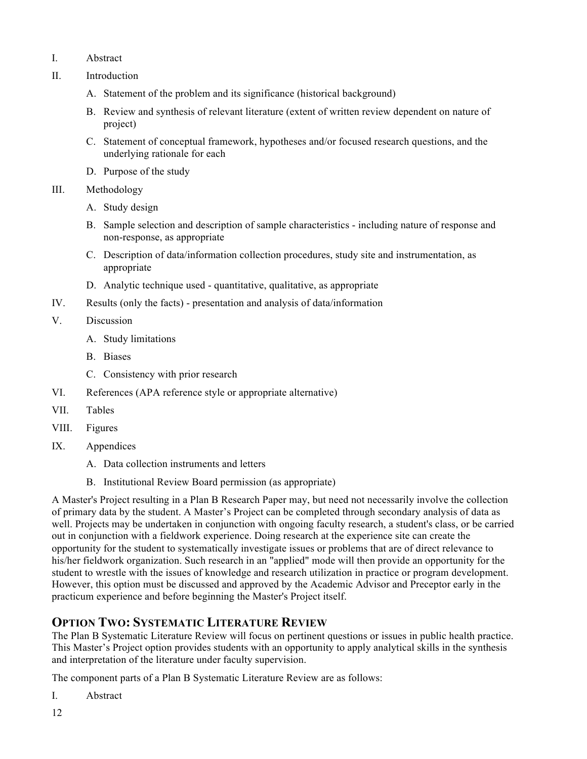- I. Abstract
- II. Introduction
	- A. Statement of the problem and its significance (historical background)
	- B. Review and synthesis of relevant literature (extent of written review dependent on nature of project)
	- C. Statement of conceptual framework, hypotheses and/or focused research questions, and the underlying rationale for each
	- D. Purpose of the study
- III. Methodology
	- A. Study design
	- B. Sample selection and description of sample characteristics including nature of response and non-response, as appropriate
	- C. Description of data/information collection procedures, study site and instrumentation, as appropriate
	- D. Analytic technique used quantitative, qualitative, as appropriate
- IV. Results (only the facts) presentation and analysis of data/information
- V. Discussion
	- A. Study limitations
	- B. Biases
	- C. Consistency with prior research
- VI. References (APA reference style or appropriate alternative)
- VII. Tables
- VIII. Figures
- IX. Appendices
	- A. Data collection instruments and letters
	- B. Institutional Review Board permission (as appropriate)

A Master's Project resulting in a Plan B Research Paper may, but need not necessarily involve the collection of primary data by the student. A Master's Project can be completed through secondary analysis of data as well. Projects may be undertaken in conjunction with ongoing faculty research, a student's class, or be carried out in conjunction with a fieldwork experience. Doing research at the experience site can create the opportunity for the student to systematically investigate issues or problems that are of direct relevance to his/her fieldwork organization. Such research in an "applied" mode will then provide an opportunity for the student to wrestle with the issues of knowledge and research utilization in practice or program development. However, this option must be discussed and approved by the Academic Advisor and Preceptor early in the practicum experience and before beginning the Master's Project itself.

## **OPTION TWO: SYSTEMATIC LITERATURE REVIEW**

The Plan B Systematic Literature Review will focus on pertinent questions or issues in public health practice. This Master's Project option provides students with an opportunity to apply analytical skills in the synthesis and interpretation of the literature under faculty supervision.

The component parts of a Plan B Systematic Literature Review are as follows:

I. Abstract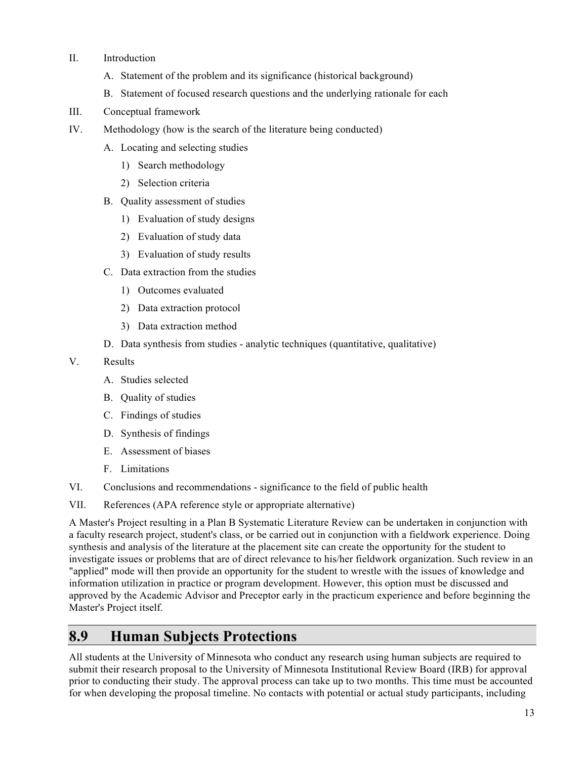- II. Introduction
	- A. Statement of the problem and its significance (historical background)
	- B. Statement of focused research questions and the underlying rationale for each
- III. Conceptual framework
- IV. Methodology (how is the search of the literature being conducted)
	- A. Locating and selecting studies
		- 1) Search methodology
		- 2) Selection criteria
	- B. Quality assessment of studies
		- 1) Evaluation of study designs
		- 2) Evaluation of study data
		- 3) Evaluation of study results
	- C. Data extraction from the studies
		- 1) Outcomes evaluated
		- 2) Data extraction protocol
		- 3) Data extraction method
	- D. Data synthesis from studies analytic techniques (quantitative, qualitative)
- V. Results
	- A. Studies selected
	- B. Quality of studies
	- C. Findings of studies
	- D. Synthesis of findings
	- E. Assessment of biases
	- F. Limitations
- VI. Conclusions and recommendations significance to the field of public health
- VII. References (APA reference style or appropriate alternative)

A Master's Project resulting in a Plan B Systematic Literature Review can be undertaken in conjunction with a faculty research project, student's class, or be carried out in conjunction with a fieldwork experience. Doing synthesis and analysis of the literature at the placement site can create the opportunity for the student to investigate issues or problems that are of direct relevance to his/her fieldwork organization. Such review in an "applied" mode will then provide an opportunity for the student to wrestle with the issues of knowledge and information utilization in practice or program development. However, this option must be discussed and approved by the Academic Advisor and Preceptor early in the practicum experience and before beginning the Master's Project itself.

## **8.9 Human Subjects Protections**

All students at the University of Minnesota who conduct any research using human subjects are required to submit their research proposal to the University of Minnesota Institutional Review Board (IRB) for approval prior to conducting their study. The approval process can take up to two months. This time must be accounted for when developing the proposal timeline. No contacts with potential or actual study participants, including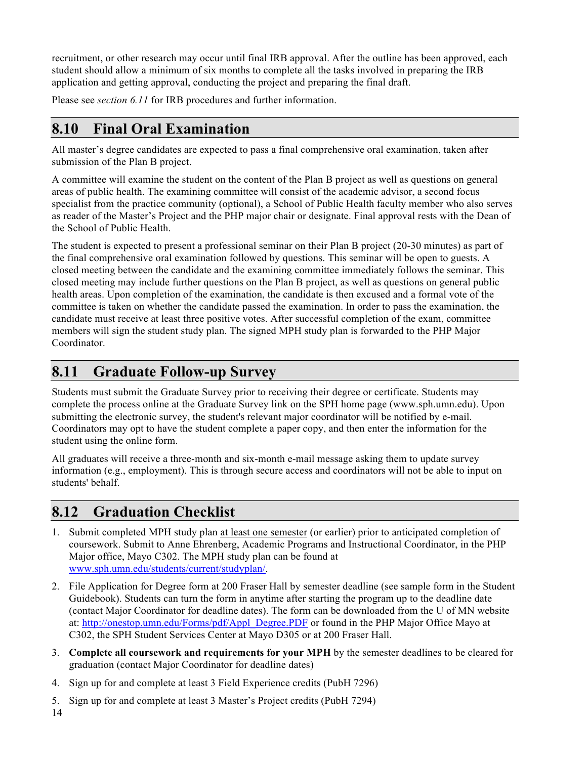recruitment, or other research may occur until final IRB approval. After the outline has been approved, each student should allow a minimum of six months to complete all the tasks involved in preparing the IRB application and getting approval, conducting the project and preparing the final draft.

Please see *section 6.11* for IRB procedures and further information.

# **8.10 Final Oral Examination**

All master's degree candidates are expected to pass a final comprehensive oral examination, taken after submission of the Plan B project.

A committee will examine the student on the content of the Plan B project as well as questions on general areas of public health. The examining committee will consist of the academic advisor, a second focus specialist from the practice community (optional), a School of Public Health faculty member who also serves as reader of the Master's Project and the PHP major chair or designate. Final approval rests with the Dean of the School of Public Health.

The student is expected to present a professional seminar on their Plan B project (20-30 minutes) as part of the final comprehensive oral examination followed by questions. This seminar will be open to guests. A closed meeting between the candidate and the examining committee immediately follows the seminar. This closed meeting may include further questions on the Plan B project, as well as questions on general public health areas. Upon completion of the examination, the candidate is then excused and a formal vote of the committee is taken on whether the candidate passed the examination. In order to pass the examination, the candidate must receive at least three positive votes. After successful completion of the exam, committee members will sign the student study plan. The signed MPH study plan is forwarded to the PHP Major Coordinator.

# **8.11 Graduate Follow-up Survey**

Students must submit the Graduate Survey prior to receiving their degree or certificate. Students may complete the process online at the Graduate Survey link on the SPH home page (www.sph.umn.edu). Upon submitting the electronic survey, the student's relevant major coordinator will be notified by e-mail. Coordinators may opt to have the student complete a paper copy, and then enter the information for the student using the online form.

All graduates will receive a three-month and six-month e-mail message asking them to update survey information (e.g., employment). This is through secure access and coordinators will not be able to input on students' behalf.

# **8.12 Graduation Checklist**

- 1. Submit completed MPH study plan at least one semester (or earlier) prior to anticipated completion of coursework. Submit to Anne Ehrenberg, Academic Programs and Instructional Coordinator, in the PHP Major office, Mayo C302. The MPH study plan can be found at www.sph.umn.edu/students/current/studyplan/.
- 2. File Application for Degree form at 200 Fraser Hall by semester deadline (see sample form in the Student Guidebook). Students can turn the form in anytime after starting the program up to the deadline date (contact Major Coordinator for deadline dates). The form can be downloaded from the U of MN website at: http://onestop.umn.edu/Forms/pdf/Appl\_Degree.PDF or found in the PHP Major Office Mayo at C302, the SPH Student Services Center at Mayo D305 or at 200 Fraser Hall.
- 3. **Complete all coursework and requirements for your MPH** by the semester deadlines to be cleared for graduation (contact Major Coordinator for deadline dates)
- 4. Sign up for and complete at least 3 Field Experience credits (PubH 7296)
- 5. Sign up for and complete at least 3 Master's Project credits (PubH 7294)

14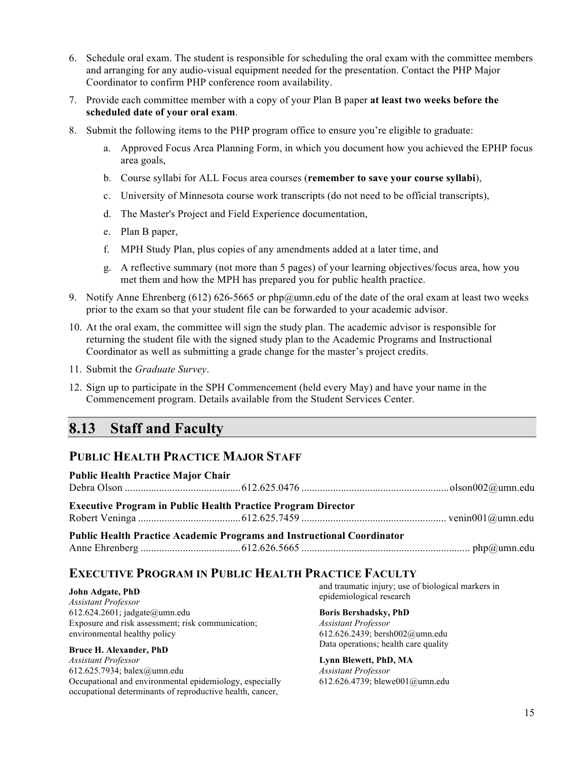- 6. Schedule oral exam. The student is responsible for scheduling the oral exam with the committee members and arranging for any audio-visual equipment needed for the presentation. Contact the PHP Major Coordinator to confirm PHP conference room availability.
- 7. Provide each committee member with a copy of your Plan B paper **at least two weeks before the scheduled date of your oral exam**.
- 8. Submit the following items to the PHP program office to ensure you're eligible to graduate:
	- a. Approved Focus Area Planning Form, in which you document how you achieved the EPHP focus area goals,
	- b. Course syllabi for ALL Focus area courses (**remember to save your course syllabi**),
	- c. University of Minnesota course work transcripts (do not need to be official transcripts),
	- d. The Master's Project and Field Experience documentation,
	- e. Plan B paper,
	- f. MPH Study Plan, plus copies of any amendments added at a later time, and
	- g. A reflective summary (not more than 5 pages) of your learning objectives/focus area, how you met them and how the MPH has prepared you for public health practice.
- 9. Notify Anne Ehrenberg (612) 626-5665 or php@umn.edu of the date of the oral exam at least two weeks prior to the exam so that your student file can be forwarded to your academic advisor.
- 10. At the oral exam, the committee will sign the study plan. The academic advisor is responsible for returning the student file with the signed study plan to the Academic Programs and Instructional Coordinator as well as submitting a grade change for the master's project credits.
- 11. Submit the *Graduate Survey*.
- 12. Sign up to participate in the SPH Commencement (held every May) and have your name in the Commencement program. Details available from the Student Services Center.

## **8.13 Staff and Faculty**

## **PUBLIC HEALTH PRACTICE MAJOR STAFF**

| <b>Public Health Practice Major Chair</b> |                                                                               |  |
|-------------------------------------------|-------------------------------------------------------------------------------|--|
|                                           |                                                                               |  |
|                                           | <b>Executive Program in Public Health Practice Program Director</b>           |  |
|                                           |                                                                               |  |
|                                           | <b>Public Health Practice Academic Programs and Instructional Coordinator</b> |  |
|                                           |                                                                               |  |

## **EXECUTIVE PROGRAM IN PUBLIC HEALTH PRACTICE FACULTY**

#### **John Adgate, PhD**

*Assistant Professor* 612.624.2601; jadgate@umn.edu Exposure and risk assessment; risk communication; environmental healthy policy

#### **Bruce H. Alexander, PhD**

*Assistant Professor* 612.625.7934; balex@umn.edu Occupational and environmental epidemiology, especially occupational determinants of reproductive health, cancer,

and traumatic injury; use of biological markers in epidemiological research

#### **Boris Bershadsky, PhD**

*Assistant Professor* 612.626.2439; bersh002@umn.edu Data operations; health care quality

### **Lynn Blewett, PhD, MA**

*Assistant Professor* 612.626.4739; blewe001@umn.edu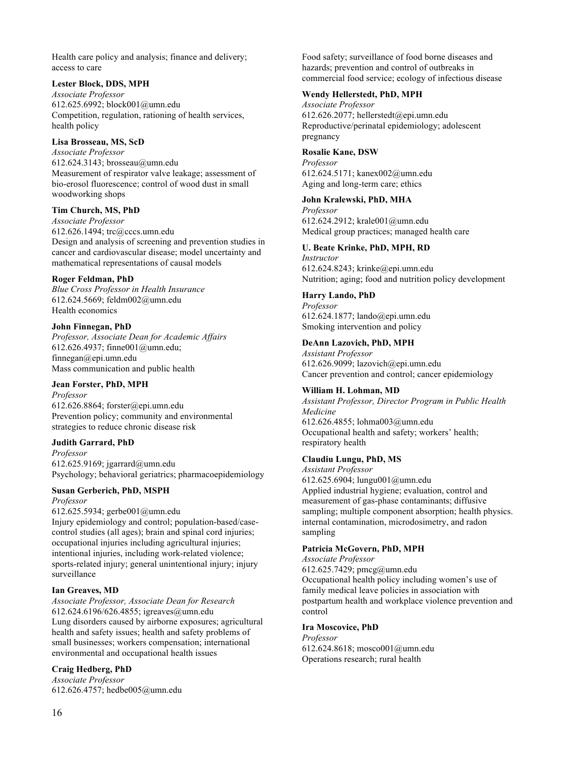Health care policy and analysis; finance and delivery; access to care

#### **Lester Block, DDS, MPH**

*Associate Professor* 612.625.6992; block001@umn.edu Competition, regulation, rationing of health services, health policy

#### **Lisa Brosseau, MS, ScD**

*Associate Professor*  612.624.3143; brosseau@umn.edu Measurement of respirator valve leakage; assessment of bio-erosol fluorescence; control of wood dust in small woodworking shops

#### **Tim Church, MS, PhD**

*Associate Professor* 612.626.1494; trc@cccs.umn.edu Design and analysis of screening and prevention studies in cancer and cardiovascular disease; model uncertainty and mathematical representations of causal models

#### **Roger Feldman, PhD**

*Blue Cross Professor in Health Insurance* 612.624.5669; feldm002@umn.edu Health economics

#### **John Finnegan, PhD**

*Professor, Associate Dean for Academic Affairs* 612.626.4937; finne001@umn.edu; finnegan@epi.umn.edu Mass communication and public health

#### **Jean Forster, PhD, MPH**

*Professor* 612.626.8864; forster@epi.umn.edu Prevention policy; community and environmental strategies to reduce chronic disease risk

#### **Judith Garrard, PhD**

*Professor* 612.625.9169; jgarrard@umn.edu Psychology; behavioral geriatrics; pharmacoepidemiology

### **Susan Gerberich, PhD, MSPH**

*Professor*

612.625.5934; gerbe001@umn.edu Injury epidemiology and control; population-based/casecontrol studies (all ages); brain and spinal cord injuries; occupational injuries including agricultural injuries; intentional injuries, including work-related violence; sports-related injury; general unintentional injury; injury surveillance

#### **Ian Greaves, MD**

*Associate Professor, Associate Dean for Research* 612.624.6196/626.4855; igreaves@umn.edu Lung disorders caused by airborne exposures; agricultural health and safety issues; health and safety problems of small businesses; workers compensation; international environmental and occupational health issues

#### **Craig Hedberg, PhD**

*Associate Professor* 612.626.4757; hedbe005@umn.edu Food safety; surveillance of food borne diseases and hazards; prevention and control of outbreaks in commercial food service; ecology of infectious disease

#### **Wendy Hellerstedt, PhD, MPH**

*Associate Professor* 612.626.2077; hellerstedt@epi.umn.edu Reproductive/perinatal epidemiology; adolescent pregnancy

#### **Rosalie Kane, DSW**

*Professor* 612.624.5171; kanex002@umn.edu Aging and long-term care; ethics

#### **John Kralewski, PhD, MHA**

*Professor* 612.624.2912; krale001@umn.edu Medical group practices; managed health care

#### **U. Beate Krinke, PhD, MPH, RD**

*Instructor* 612.624.8243; krinke@epi.umn.edu Nutrition; aging; food and nutrition policy development

#### **Harry Lando, PhD**

*Professor* 612.624.1877; lando@epi.umn.edu Smoking intervention and policy

#### **DeAnn Lazovich, PhD, MPH**

*Assistant Professor* 612.626.9099; lazovich@epi.umn.edu Cancer prevention and control; cancer epidemiology

#### **William H. Lohman, MD**

*Assistant Professor, Director Program in Public Health Medicine* 612.626.4855; lohma003@umn.edu Occupational health and safety; workers' health; respiratory health

### **Claudiu Lungu, PhD, MS**

*Assistant Professor* 612.625.6904; lungu001@umn.edu Applied industrial hygiene; evaluation, control and measurement of gas-phase contaminants; diffusive sampling; multiple component absorption; health physics. internal contamination, microdosimetry, and radon sampling

#### **Patricia McGovern, PhD, MPH**

*Associate Professor* 612.625.7429; pmcg@umn.edu Occupational health policy including women's use of family medical leave policies in association with postpartum health and workplace violence prevention and control

#### **Ira Moscovice, PhD**

*Professor* 612.624.8618; mosco001@umn.edu Operations research; rural health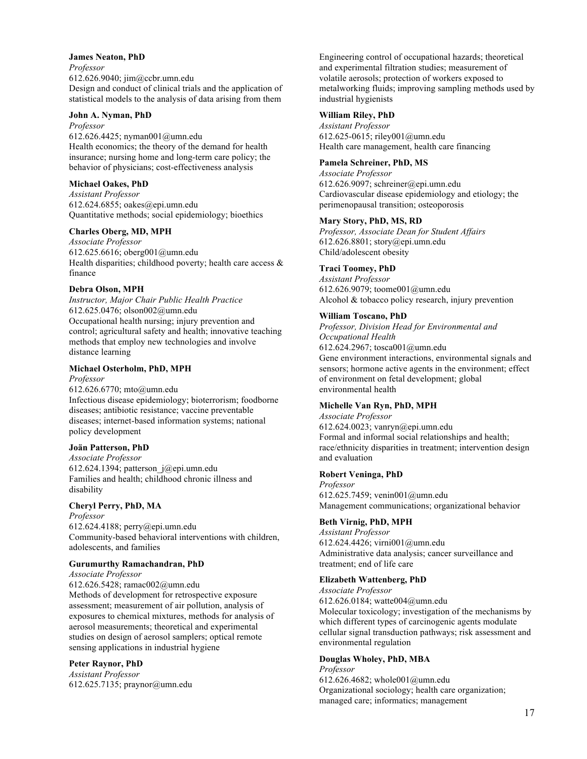#### **James Neaton, PhD**

*Professor* 612.626.9040; jim@ccbr.umn.edu Design and conduct of clinical trials and the application of statistical models to the analysis of data arising from them

#### **John A. Nyman, PhD**

*Professor* 612.626.4425; nyman001@umn.edu Health economics; the theory of the demand for health insurance; nursing home and long-term care policy; the behavior of physicians; cost-effectiveness analysis

#### **Michael Oakes, PhD**

*Assistant Professor* 612.624.6855; oakes@epi.umn.edu Quantitative methods; social epidemiology; bioethics

#### **Charles Oberg, MD, MPH**

*Associate Professor* 612.625.6616; oberg001@umn.edu Health disparities; childhood poverty; health care access  $\&$ finance

#### **Debra Olson, MPH**

*Instructor, Major Chair Public Health Practice* 612.625.0476; olson002@umn.edu Occupational health nursing; injury prevention and control; agricultural safety and health; innovative teaching methods that employ new technologies and involve distance learning

#### **Michael Osterholm, PhD, MPH**

*Professor*

612.626.6770; mto@umn.edu Infectious disease epidemiology; bioterrorism; foodborne diseases; antibiotic resistance; vaccine preventable diseases; internet-based information systems; national policy development

#### **Joän Patterson, PhD**

*Associate Professor* 612.624.1394; patterson  $j@epi.$ umn.edu Families and health; childhood chronic illness and disability

#### **Cheryl Perry, PhD, MA**

*Professor* 612.624.4188; perry@epi.umn.edu Community-based behavioral interventions with children, adolescents, and families

#### **Gurumurthy Ramachandran, PhD**

*Associate Professor* 612.626.5428; ramac002@umn.edu Methods of development for retrospective exposure assessment; measurement of air pollution, analysis of exposures to chemical mixtures, methods for analysis of aerosol measurements; theoretical and experimental studies on design of aerosol samplers; optical remote sensing applications in industrial hygiene

#### **Peter Raynor, PhD**

*Assistant Professor* 612.625.7135; praynor@umn.edu Engineering control of occupational hazards; theoretical and experimental filtration studies; measurement of volatile aerosols; protection of workers exposed to metalworking fluids; improving sampling methods used by industrial hygienists

#### **William Riley, PhD**

*Assistant Professor* 612.625-0615; riley001@umn.edu Health care management, health care financing

#### **Pamela Schreiner, PhD, MS**

*Associate Professor* 612.626.9097; schreiner@epi.umn.edu Cardiovascular disease epidemiology and etiology; the perimenopausal transition; osteoporosis

#### **Mary Story, PhD, MS, RD**

*Professor, Associate Dean for Student Affairs* 612.626.8801; story@epi.umn.edu Child/adolescent obesity

#### **Traci Toomey, PhD**

*Assistant Professor* 612.626.9079; toome001@umn.edu Alcohol & tobacco policy research, injury prevention

#### **William Toscano, PhD**

*Professor, Division Head for Environmental and Occupational Health* 612.624.2967; tosca001@umn.edu Gene environment interactions, environmental signals and sensors; hormone active agents in the environment; effect of environment on fetal development; global environmental health

#### **Michelle Van Ryn, PhD, MPH**

*Associate Professor* 612.624.0023; vanryn@epi.umn.edu Formal and informal social relationships and health; race/ethnicity disparities in treatment; intervention design and evaluation

#### **Robert Veninga, PhD**

*Professor* 612.625.7459; venin001@umn.edu Management communications; organizational behavior

#### **Beth Virnig, PhD, MPH**

*Assistant Professor* 612.624.4426; virni001@umn.edu Administrative data analysis; cancer surveillance and treatment; end of life care

#### **Elizabeth Wattenberg, PhD**

*Associate Professor* 612.626.0184; watte004@umn.edu Molecular toxicology; investigation of the mechanisms by which different types of carcinogenic agents modulate cellular signal transduction pathways; risk assessment and environmental regulation

#### **Douglas Wholey, PhD, MBA**

*Professor* 612.626.4682; whole001@umn.edu Organizational sociology; health care organization; managed care; informatics; management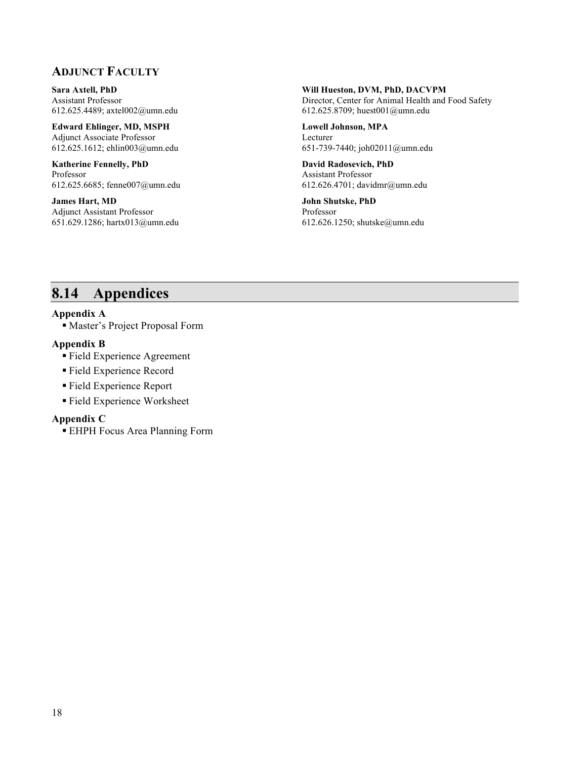## **ADJUNCT FACULTY**

**Sara Axtell, PhD** Assistant Professor 612.625.4489; axtel002@umn.edu

**Edward Ehlinger, MD, MSPH** Adjunct Associate Professor 612.625.1612; ehlin003@umn.edu

**Katherine Fennelly, PhD** Professor 612.625.6685; fenne007@umn.edu

**James Hart, MD** Adjunct Assistant Professor 651.629.1286; hartx013@umn.edu

### **Will Hueston, DVM, PhD, DACVPM**

Director, Center for Animal Health and Food Safety 612.625.8709; huest001@umn.edu

**Lowell Johnson, MPA** Lecturer 651-739-7440; joh02011@umn.edu

**David Radosevich, PhD** Assistant Professor 612.626.4701; davidmr@umn.edu

**John Shutske, PhD** Professor 612.626.1250; shutske@umn.edu

# **8.14 Appendices**

#### **Appendix A**

Master's Project Proposal Form

#### **Appendix B**

- Field Experience Agreement
- Field Experience Record
- Field Experience Report
- Field Experience Worksheet

#### **Appendix C**

EHPH Focus Area Planning Form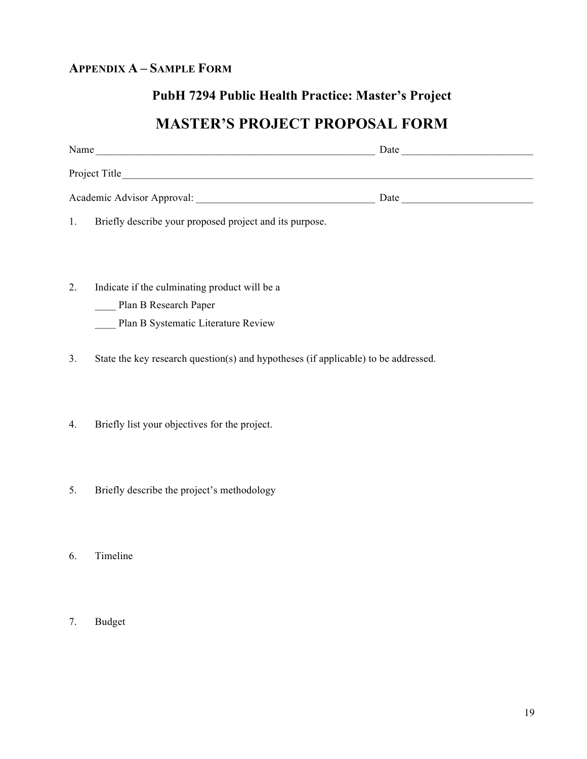## **APPENDIX A – SAMPLE FORM**

## **PubH 7294 Public Health Practice: Master's Project**

# **MASTER'S PROJECT PROPOSAL FORM**

| Name                                                    | Date |  |
|---------------------------------------------------------|------|--|
| Project Title                                           |      |  |
| Academic Advisor Approval:                              | Date |  |
| Briefly describe your proposed project and its purpose. |      |  |

2. Indicate if the culminating product will be a

Plan B Research Paper

Plan B Systematic Literature Review

3. State the key research question(s) and hypotheses (if applicable) to be addressed.

4. Briefly list your objectives for the project.

- 5. Briefly describe the project's methodology
- 6. Timeline
- 7. Budget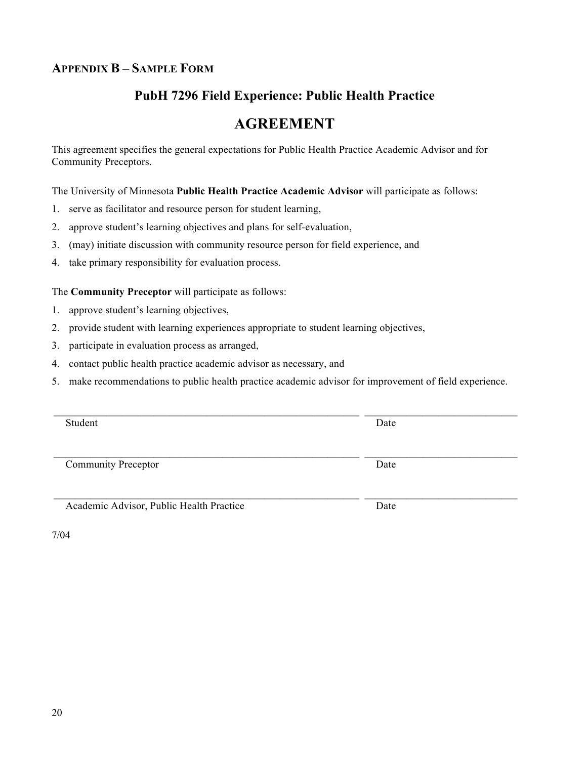## **APPENDIX B – SAMPLE FORM**

## **PubH 7296 Field Experience: Public Health Practice**

# **AGREEMENT**

This agreement specifies the general expectations for Public Health Practice Academic Advisor and for Community Preceptors.

The University of Minnesota **Public Health Practice Academic Advisor** will participate as follows:

- 1. serve as facilitator and resource person for student learning,
- 2. approve student's learning objectives and plans for self-evaluation,
- 3. (may) initiate discussion with community resource person for field experience, and
- 4. take primary responsibility for evaluation process.

The **Community Preceptor** will participate as follows:

- 1. approve student's learning objectives,
- 2. provide student with learning experiences appropriate to student learning objectives,
- 3. participate in evaluation process as arranged,
- 4. contact public health practice academic advisor as necessary, and
- 5. make recommendations to public health practice academic advisor for improvement of field experience.

| Student                                  | Date |
|------------------------------------------|------|
|                                          |      |
|                                          |      |
|                                          |      |
| <b>Community Preceptor</b>               | Date |
|                                          |      |
|                                          |      |
|                                          |      |
| Academic Advisor, Public Health Practice | Date |
|                                          |      |
|                                          |      |

7/04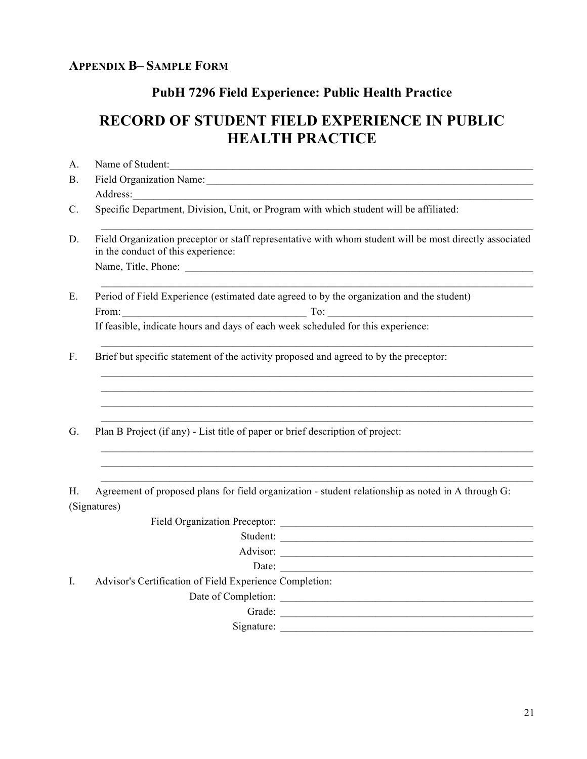## **APPENDIX B– SAMPLE FORM**

## **PubH 7296 Field Experience: Public Health Practice**

# **RECORD OF STUDENT FIELD EXPERIENCE IN PUBLIC HEALTH PRACTICE**

| A.             | Name of Student:                                                                                                                              |
|----------------|-----------------------------------------------------------------------------------------------------------------------------------------------|
| <b>B.</b>      |                                                                                                                                               |
|                | Address:                                                                                                                                      |
| $\mathbf{C}$ . | Specific Department, Division, Unit, or Program with which student will be affiliated:                                                        |
| D.             | Field Organization preceptor or staff representative with whom student will be most directly associated<br>in the conduct of this experience: |
|                |                                                                                                                                               |
| Ε.             | Period of Field Experience (estimated date agreed to by the organization and the student)                                                     |
|                | From: $\begin{array}{c c} \hline \end{array}$ To:                                                                                             |
|                | If feasible, indicate hours and days of each week scheduled for this experience:                                                              |
| $F_{\cdot}$    | Brief but specific statement of the activity proposed and agreed to by the preceptor:                                                         |
|                |                                                                                                                                               |
|                |                                                                                                                                               |
| G.             | Plan B Project (if any) - List title of paper or brief description of project:                                                                |
|                |                                                                                                                                               |
| Н.             | Agreement of proposed plans for field organization - student relationship as noted in A through G:<br>(Signatures)                            |
|                |                                                                                                                                               |
|                | Student:                                                                                                                                      |
|                | Advisor:                                                                                                                                      |
|                | Date:                                                                                                                                         |

I. Advisor's Certification of Field Experience Completion:

Date of Completion: \_\_\_\_\_\_\_\_\_\_\_\_\_\_\_\_\_\_\_\_\_\_\_\_\_\_\_\_\_\_\_\_\_\_\_\_\_\_\_\_\_\_\_\_\_\_\_\_

Grade: \_\_\_\_\_\_\_\_\_\_\_\_\_\_\_\_\_\_\_\_\_\_\_\_\_\_\_\_\_\_\_\_\_\_\_\_\_\_\_\_\_\_\_\_\_\_\_\_

Signature: \_\_\_\_\_\_\_\_\_\_\_\_\_\_\_\_\_\_\_\_\_\_\_\_\_\_\_\_\_\_\_\_\_\_\_\_\_\_\_\_\_\_\_\_\_\_\_\_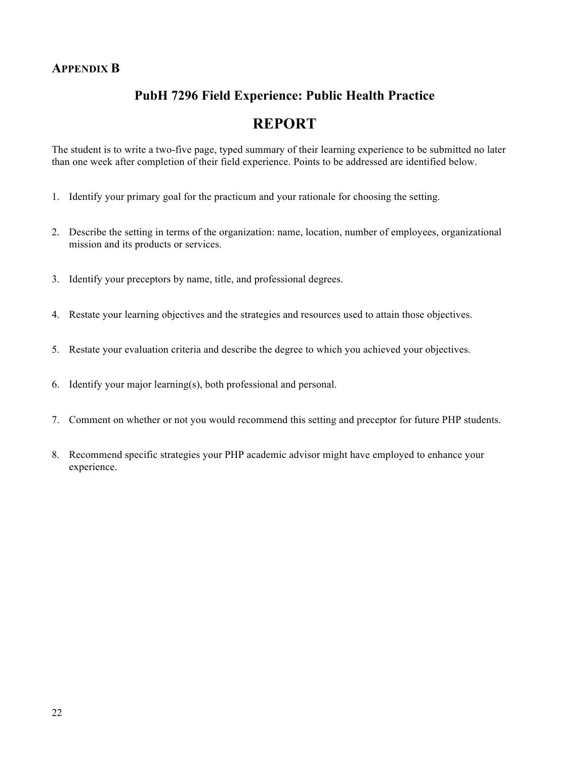## **PubH 7296 Field Experience: Public Health Practice**

## **REPORT**

The student is to write a two-five page, typed summary of their learning experience to be submitted no later than one week after completion of their field experience. Points to be addressed are identified below.

- 1. Identify your primary goal for the practicum and your rationale for choosing the setting.
- 2. Describe the setting in terms of the organization: name, location, number of employees, organizational mission and its products or services.
- 3. Identify your preceptors by name, title, and professional degrees.
- 4. Restate your learning objectives and the strategies and resources used to attain those objectives.
- 5. Restate your evaluation criteria and describe the degree to which you achieved your objectives.
- 6. Identify your major learning(s), both professional and personal.
- 7. Comment on whether or not you would recommend this setting and preceptor for future PHP students.
- 8. Recommend specific strategies your PHP academic advisor might have employed to enhance your experience.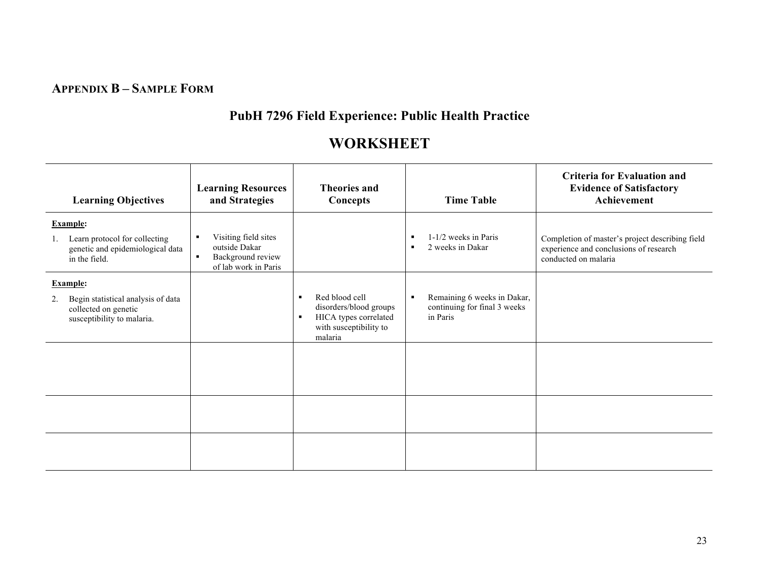## **APPENDIX B – SAMPLE FORM**

# **PubH 7296 Field Experience: Public Health Practice**

# **WORKSHEET**

| <b>Learning Objectives</b>                                                                                        | <b>Learning Resources</b><br>and Strategies                                                          | <b>Theories and</b><br>Concepts                                                                                                            | <b>Time Table</b>                                                       | Criteria for Evaluation and<br><b>Evidence of Satisfactory</b><br>Achievement                                     |
|-------------------------------------------------------------------------------------------------------------------|------------------------------------------------------------------------------------------------------|--------------------------------------------------------------------------------------------------------------------------------------------|-------------------------------------------------------------------------|-------------------------------------------------------------------------------------------------------------------|
| <b>Example:</b><br>Learn protocol for collecting<br>genetic and epidemiological data<br>in the field.             | Visiting field sites<br>outside Dakar<br>Background review<br>$\blacksquare$<br>of lab work in Paris |                                                                                                                                            | 1-1/2 weeks in Paris<br>2 weeks in Dakar                                | Completion of master's project describing field<br>experience and conclusions of research<br>conducted on malaria |
| <b>Example:</b><br>Begin statistical analysis of data<br>2.<br>collected on genetic<br>susceptibility to malaria. |                                                                                                      | Red blood cell<br>$\blacksquare$<br>disorders/blood groups<br>HICA types correlated<br>$\blacksquare$<br>with susceptibility to<br>malaria | Remaining 6 weeks in Dakar,<br>continuing for final 3 weeks<br>in Paris |                                                                                                                   |
|                                                                                                                   |                                                                                                      |                                                                                                                                            |                                                                         |                                                                                                                   |
|                                                                                                                   |                                                                                                      |                                                                                                                                            |                                                                         |                                                                                                                   |
|                                                                                                                   |                                                                                                      |                                                                                                                                            |                                                                         |                                                                                                                   |